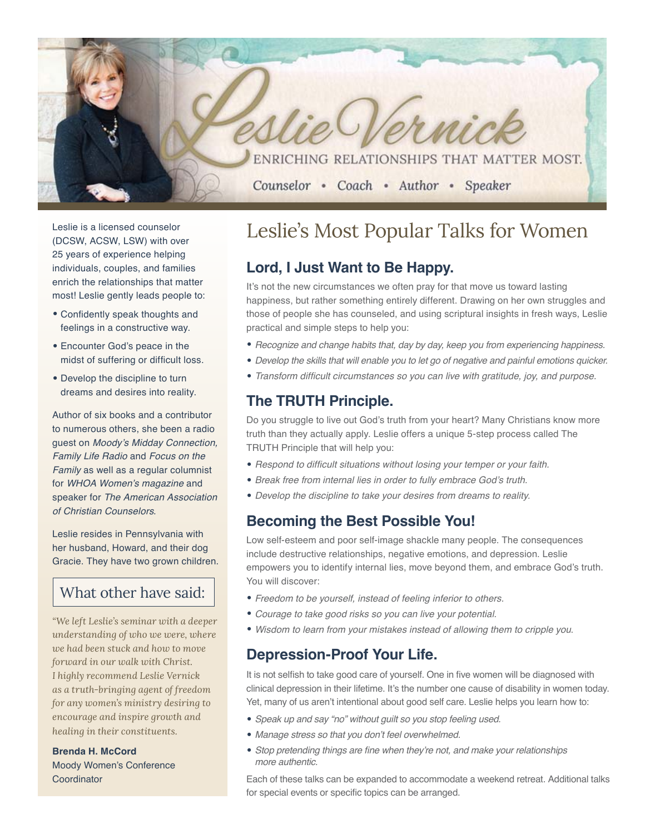ENRICHING RELATIONSHIPS THAT MATTER MOST.

#### Counselor • Coach • Author • Speaker

Leslie is a licensed counselor (DCSW, ACSW, LSW) with over 25 years of experience helping individuals, couples, and families enrich the relationships that matter most! Leslie gently leads people to:

- • Confidently speak thoughts and feelings in a constructive way.
- • Encounter God's peace in the midst of suffering or difficult loss.
- Develop the discipline to turn dreams and desires into reality.

Author of six books and a contributor to numerous others, she been a radio guest on Moody's Midday Connection, Family Life Radio and Focus on the Family as well as a regular columnist for WHOA Women's magazine and speaker for The American Association of Christian Counselors.

Leslie resides in Pennsylvania with her husband, Howard, and their dog Gracie. They have two grown children.

## What other have said:

*"We left Leslie's seminar with a deeper understanding of who we were, where we had been stuck and how to move forward in our walk with Christ. I highly recommend Leslie Vernick as a truth-bringing agent of freedom for any women's ministry desiring to encourage and inspire growth and healing in their constituents.*

**Brenda H. McCord** Moody Women's Conference Coordinator

## Leslie's Most Popular Talks for Women

### **Lord, I Just Want to Be Happy.**

It's not the new circumstances we often pray for that move us toward lasting happiness, but rather something entirely different. Drawing on her own struggles and those of people she has counseled, and using scriptural insights in fresh ways, Leslie practical and simple steps to help you:

- Recognize and change habits that, day by day, keep you from experiencing happiness.
- Develop the skills that will enable you to let go of negative and painful emotions quicker.
- Transform difficult circumstances so you can live with gratitude, joy, and purpose.

### **The TRUTH Principle.**

Do you struggle to live out God's truth from your heart? Many Christians know more truth than they actually apply. Leslie offers a unique 5-step process called The TRUTH Principle that will help you:

- Respond to difficult situations without losing your temper or your faith.
- Break free from internal lies in order to fully embrace God's truth.
- Develop the discipline to take your desires from dreams to reality.

#### **Becoming the Best Possible You!**

Low self-esteem and poor self-image shackle many people. The consequences include destructive relationships, negative emotions, and depression. Leslie empowers you to identify internal lies, move beyond them, and embrace God's truth. You will discover:

- Freedom to be yourself, instead of feeling inferior to others.
- Courage to take good risks so you can live your potential.
- Wisdom to learn from your mistakes instead of allowing them to cripple you.

#### **Depression-Proof Your Life.**

It is not selfish to take good care of yourself. One in five women will be diagnosed with clinical depression in their lifetime. It's the number one cause of disability in women today. Yet, many of us aren't intentional about good self care. Leslie helps you learn how to:

- Speak up and say "no" without guilt so you stop feeling used.
- Manage stress so that you don't feel overwhelmed.
- Stop pretending things are fine when they're not, and make your relationships more authentic.

Each of these talks can be expanded to accommodate a weekend retreat. Additional talks for special events or specific topics can be arranged.